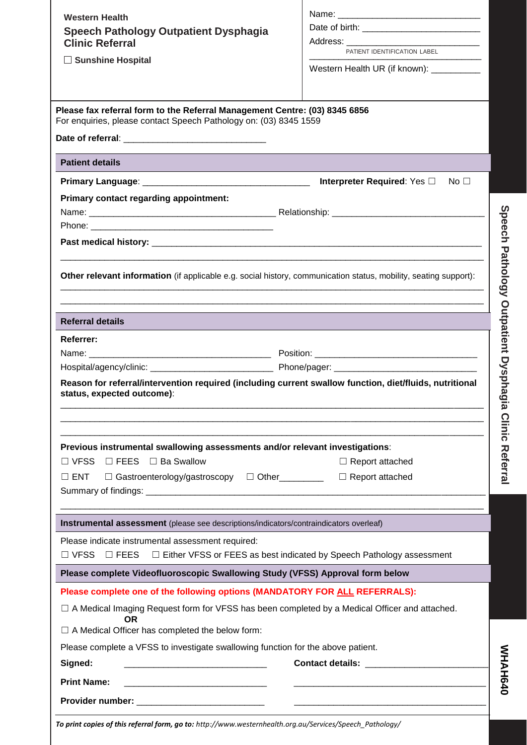| <b>Speech Pathology Outpatient Dysphagia</b>                                                                                                    |                                             |  |
|-------------------------------------------------------------------------------------------------------------------------------------------------|---------------------------------------------|--|
|                                                                                                                                                 |                                             |  |
| <b>Clinic Referral</b>                                                                                                                          | PATIENT IDENTIFICATION LABEL                |  |
| □ Sunshine Hospital                                                                                                                             | Western Health UR (if known): ___________   |  |
|                                                                                                                                                 |                                             |  |
| Please fax referral form to the Referral Management Centre: (03) 8345 6856<br>For enquiries, please contact Speech Pathology on: (03) 8345 1559 |                                             |  |
|                                                                                                                                                 |                                             |  |
| <b>Patient details</b>                                                                                                                          |                                             |  |
|                                                                                                                                                 | Interpreter Required: Yes □<br>No $\square$ |  |
| Primary contact regarding appointment:                                                                                                          |                                             |  |
|                                                                                                                                                 |                                             |  |
|                                                                                                                                                 |                                             |  |
|                                                                                                                                                 |                                             |  |
|                                                                                                                                                 |                                             |  |
| Other relevant information (if applicable e.g. social history, communication status, mobility, seating support):                                |                                             |  |
|                                                                                                                                                 |                                             |  |
| <b>Referral details</b>                                                                                                                         |                                             |  |
|                                                                                                                                                 |                                             |  |
| Referrer:                                                                                                                                       |                                             |  |
|                                                                                                                                                 |                                             |  |
| Reason for referral/intervention required (including current swallow function, diet/fluids, nutritional                                         |                                             |  |
| status, expected outcome):                                                                                                                      |                                             |  |
|                                                                                                                                                 |                                             |  |
|                                                                                                                                                 |                                             |  |
| Previous instrumental swallowing assessments and/or relevant investigations:                                                                    |                                             |  |
| $\Box$ VFSS<br>$\Box$ FEES $\Box$ Ba Swallow                                                                                                    | $\Box$ Report attached                      |  |
| $\square$ ENT<br>□ Gastroenterology/gastroscopy □ Other________                                                                                 | $\Box$ Report attached                      |  |
|                                                                                                                                                 |                                             |  |
|                                                                                                                                                 |                                             |  |
|                                                                                                                                                 |                                             |  |
| Instrumental assessment (please see descriptions/indicators/contraindicators overleaf)                                                          |                                             |  |
| Please indicate instrumental assessment required:                                                                                               |                                             |  |
| $\Box$ VFSS $\Box$ FEES $\Box$ Either VFSS or FEES as best indicated by Speech Pathology assessment                                             |                                             |  |
| Please complete Videofluoroscopic Swallowing Study (VFSS) Approval form below                                                                   |                                             |  |
| Please complete one of the following options (MANDATORY FOR ALL REFERRALS):                                                                     |                                             |  |
| $\Box$ A Medical Imaging Request form for VFSS has been completed by a Medical Officer and attached.<br>ΟR                                      |                                             |  |
| $\Box$ A Medical Officer has completed the below form:                                                                                          |                                             |  |
| Please complete a VFSS to investigate swallowing function for the above patient.                                                                |                                             |  |
| Signed:                                                                                                                                         | Contact details: _______________            |  |
| <b>Print Name:</b>                                                                                                                              |                                             |  |

**MHAH640 WHAH640**